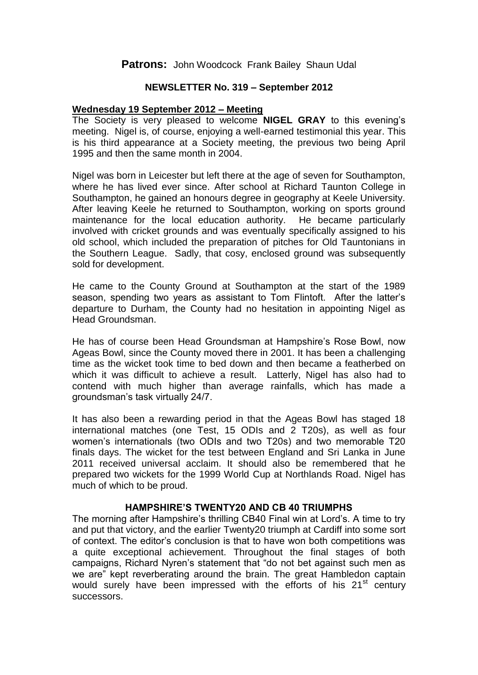# **Patrons:** John Woodcock Frank Bailey Shaun Udal

### **NEWSLETTER No. 319 – September 2012**

## **Wednesday 19 September 2012 – Meeting**

The Society is very pleased to welcome **NIGEL GRAY** to this evening's meeting. Nigel is, of course, enjoying a well-earned testimonial this year. This is his third appearance at a Society meeting, the previous two being April 1995 and then the same month in 2004.

Nigel was born in Leicester but left there at the age of seven for Southampton, where he has lived ever since. After school at Richard Taunton College in Southampton, he gained an honours degree in geography at Keele University. After leaving Keele he returned to Southampton, working on sports ground maintenance for the local education authority. He became particularly involved with cricket grounds and was eventually specifically assigned to his old school, which included the preparation of pitches for Old Tauntonians in the Southern League. Sadly, that cosy, enclosed ground was subsequently sold for development.

He came to the County Ground at Southampton at the start of the 1989 season, spending two years as assistant to Tom Flintoft. After the latter's departure to Durham, the County had no hesitation in appointing Nigel as Head Groundsman.

He has of course been Head Groundsman at Hampshire's Rose Bowl, now Ageas Bowl, since the County moved there in 2001. It has been a challenging time as the wicket took time to bed down and then became a featherbed on which it was difficult to achieve a result. Latterly, Nigel has also had to contend with much higher than average rainfalls, which has made a groundsman's task virtually 24/7.

It has also been a rewarding period in that the Ageas Bowl has staged 18 international matches (one Test, 15 ODIs and 2 T20s), as well as four women's internationals (two ODIs and two T20s) and two memorable T20 finals days. The wicket for the test between England and Sri Lanka in June 2011 received universal acclaim. It should also be remembered that he prepared two wickets for the 1999 World Cup at Northlands Road. Nigel has much of which to be proud.

#### **HAMPSHIRE'S TWENTY20 AND CB 40 TRIUMPHS**

The morning after Hampshire's thrilling CB40 Final win at Lord's. A time to try and put that victory, and the earlier Twenty20 triumph at Cardiff into some sort of context. The editor's conclusion is that to have won both competitions was a quite exceptional achievement. Throughout the final stages of both campaigns, Richard Nyren's statement that "do not bet against such men as we are" kept reverberating around the brain. The great Hambledon captain would surely have been impressed with the efforts of his 21<sup>st</sup> century successors.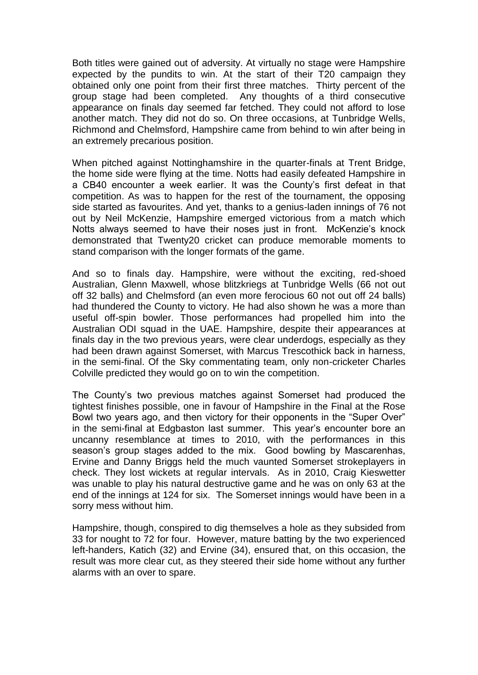Both titles were gained out of adversity. At virtually no stage were Hampshire expected by the pundits to win. At the start of their T20 campaign they obtained only one point from their first three matches. Thirty percent of the group stage had been completed. Any thoughts of a third consecutive appearance on finals day seemed far fetched. They could not afford to lose another match. They did not do so. On three occasions, at Tunbridge Wells, Richmond and Chelmsford, Hampshire came from behind to win after being in an extremely precarious position.

When pitched against Nottinghamshire in the quarter-finals at Trent Bridge, the home side were flying at the time. Notts had easily defeated Hampshire in a CB40 encounter a week earlier. It was the County's first defeat in that competition. As was to happen for the rest of the tournament, the opposing side started as favourites. And yet, thanks to a genius-laden innings of 76 not out by Neil McKenzie, Hampshire emerged victorious from a match which Notts always seemed to have their noses just in front. McKenzie's knock demonstrated that Twenty20 cricket can produce memorable moments to stand comparison with the longer formats of the game.

And so to finals day. Hampshire, were without the exciting, red-shoed Australian, Glenn Maxwell, whose blitzkriegs at Tunbridge Wells (66 not out off 32 balls) and Chelmsford (an even more ferocious 60 not out off 24 balls) had thundered the County to victory. He had also shown he was a more than useful off-spin bowler. Those performances had propelled him into the Australian ODI squad in the UAE. Hampshire, despite their appearances at finals day in the two previous years, were clear underdogs, especially as they had been drawn against Somerset, with Marcus Trescothick back in harness, in the semi-final. Of the Sky commentating team, only non-cricketer Charles Colville predicted they would go on to win the competition.

The County's two previous matches against Somerset had produced the tightest finishes possible, one in favour of Hampshire in the Final at the Rose Bowl two years ago, and then victory for their opponents in the "Super Over" in the semi-final at Edgbaston last summer. This year's encounter bore an uncanny resemblance at times to 2010, with the performances in this season's group stages added to the mix. Good bowling by Mascarenhas, Ervine and Danny Briggs held the much vaunted Somerset strokeplayers in check. They lost wickets at regular intervals. As in 2010, Craig Kieswetter was unable to play his natural destructive game and he was on only 63 at the end of the innings at 124 for six. The Somerset innings would have been in a sorry mess without him.

Hampshire, though, conspired to dig themselves a hole as they subsided from 33 for nought to 72 for four. However, mature batting by the two experienced left-handers, Katich (32) and Ervine (34), ensured that, on this occasion, the result was more clear cut, as they steered their side home without any further alarms with an over to spare.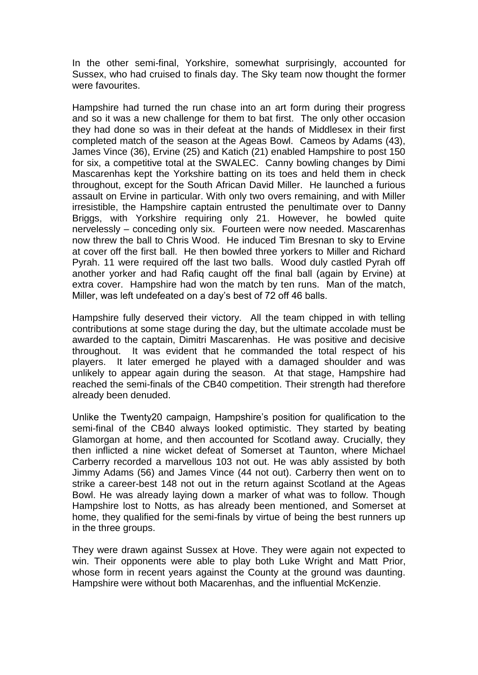In the other semi-final, Yorkshire, somewhat surprisingly, accounted for Sussex, who had cruised to finals day. The Sky team now thought the former were favourites.

Hampshire had turned the run chase into an art form during their progress and so it was a new challenge for them to bat first. The only other occasion they had done so was in their defeat at the hands of Middlesex in their first completed match of the season at the Ageas Bowl. Cameos by Adams (43), James Vince (36), Ervine (25) and Katich (21) enabled Hampshire to post 150 for six, a competitive total at the SWALEC. Canny bowling changes by Dimi Mascarenhas kept the Yorkshire batting on its toes and held them in check throughout, except for the South African David Miller. He launched a furious assault on Ervine in particular. With only two overs remaining, and with Miller irresistible, the Hampshire captain entrusted the penultimate over to Danny Briggs, with Yorkshire requiring only 21. However, he bowled quite nervelessly – conceding only six. Fourteen were now needed. Mascarenhas now threw the ball to Chris Wood. He induced Tim Bresnan to sky to Ervine at cover off the first ball. He then bowled three yorkers to Miller and Richard Pyrah. 11 were required off the last two balls. Wood duly castled Pyrah off another yorker and had Rafiq caught off the final ball (again by Ervine) at extra cover. Hampshire had won the match by ten runs. Man of the match, Miller, was left undefeated on a day's best of 72 off 46 balls.

Hampshire fully deserved their victory. All the team chipped in with telling contributions at some stage during the day, but the ultimate accolade must be awarded to the captain, Dimitri Mascarenhas. He was positive and decisive throughout. It was evident that he commanded the total respect of his players. It later emerged he played with a damaged shoulder and was unlikely to appear again during the season. At that stage, Hampshire had reached the semi-finals of the CB40 competition. Their strength had therefore already been denuded.

Unlike the Twenty20 campaign, Hampshire's position for qualification to the semi-final of the CB40 always looked optimistic. They started by beating Glamorgan at home, and then accounted for Scotland away. Crucially, they then inflicted a nine wicket defeat of Somerset at Taunton, where Michael Carberry recorded a marvellous 103 not out. He was ably assisted by both Jimmy Adams (56) and James Vince (44 not out). Carberry then went on to strike a career-best 148 not out in the return against Scotland at the Ageas Bowl. He was already laying down a marker of what was to follow. Though Hampshire lost to Notts, as has already been mentioned, and Somerset at home, they qualified for the semi-finals by virtue of being the best runners up in the three groups.

They were drawn against Sussex at Hove. They were again not expected to win. Their opponents were able to play both Luke Wright and Matt Prior, whose form in recent years against the County at the ground was daunting. Hampshire were without both Macarenhas, and the influential McKenzie.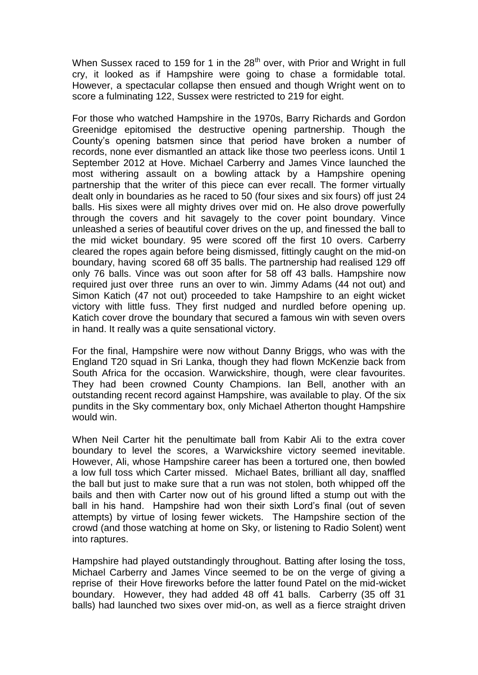When Sussex raced to 159 for 1 in the 28<sup>th</sup> over, with Prior and Wright in full cry, it looked as if Hampshire were going to chase a formidable total. However, a spectacular collapse then ensued and though Wright went on to score a fulminating 122, Sussex were restricted to 219 for eight.

For those who watched Hampshire in the 1970s, Barry Richards and Gordon Greenidge epitomised the destructive opening partnership. Though the County's opening batsmen since that period have broken a number of records, none ever dismantled an attack like those two peerless icons. Until 1 September 2012 at Hove. Michael Carberry and James Vince launched the most withering assault on a bowling attack by a Hampshire opening partnership that the writer of this piece can ever recall. The former virtually dealt only in boundaries as he raced to 50 (four sixes and six fours) off just 24 balls. His sixes were all mighty drives over mid on. He also drove powerfully through the covers and hit savagely to the cover point boundary. Vince unleashed a series of beautiful cover drives on the up, and finessed the ball to the mid wicket boundary. 95 were scored off the first 10 overs. Carberry cleared the ropes again before being dismissed, fittingly caught on the mid-on boundary, having scored 68 off 35 balls. The partnership had realised 129 off only 76 balls. Vince was out soon after for 58 off 43 balls. Hampshire now required just over three runs an over to win. Jimmy Adams (44 not out) and Simon Katich (47 not out) proceeded to take Hampshire to an eight wicket victory with little fuss. They first nudged and nurdled before opening up. Katich cover drove the boundary that secured a famous win with seven overs in hand. It really was a quite sensational victory.

For the final, Hampshire were now without Danny Briggs, who was with the England T20 squad in Sri Lanka, though they had flown McKenzie back from South Africa for the occasion. Warwickshire, though, were clear favourites. They had been crowned County Champions. Ian Bell, another with an outstanding recent record against Hampshire, was available to play. Of the six pundits in the Sky commentary box, only Michael Atherton thought Hampshire would win.

When Neil Carter hit the penultimate ball from Kabir Ali to the extra cover boundary to level the scores, a Warwickshire victory seemed inevitable. However, Ali, whose Hampshire career has been a tortured one, then bowled a low full toss which Carter missed. Michael Bates, brilliant all day, snaffled the ball but just to make sure that a run was not stolen, both whipped off the bails and then with Carter now out of his ground lifted a stump out with the ball in his hand. Hampshire had won their sixth Lord's final (out of seven attempts) by virtue of losing fewer wickets. The Hampshire section of the crowd (and those watching at home on Sky, or listening to Radio Solent) went into raptures.

Hampshire had played outstandingly throughout. Batting after losing the toss, Michael Carberry and James Vince seemed to be on the verge of giving a reprise of their Hove fireworks before the latter found Patel on the mid-wicket boundary. However, they had added 48 off 41 balls. Carberry (35 off 31 balls) had launched two sixes over mid-on, as well as a fierce straight driven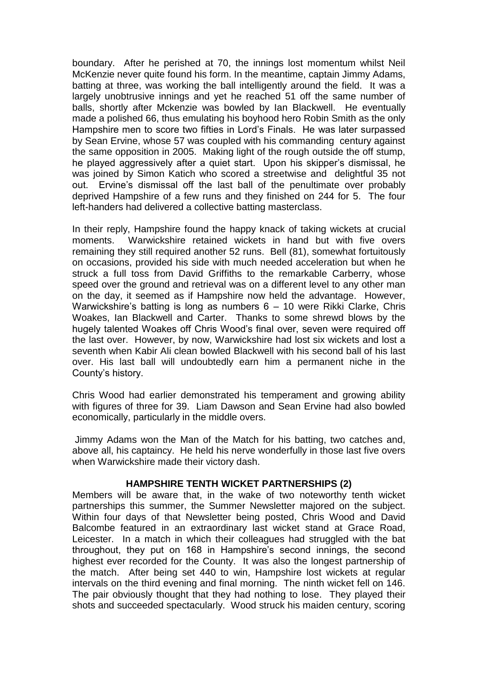boundary. After he perished at 70, the innings lost momentum whilst Neil McKenzie never quite found his form. In the meantime, captain Jimmy Adams, batting at three, was working the ball intelligently around the field. It was a largely unobtrusive innings and yet he reached 51 off the same number of balls, shortly after Mckenzie was bowled by Ian Blackwell. He eventually made a polished 66, thus emulating his boyhood hero Robin Smith as the only Hampshire men to score two fifties in Lord's Finals. He was later surpassed by Sean Ervine, whose 57 was coupled with his commanding century against the same opposition in 2005. Making light of the rough outside the off stump, he played aggressively after a quiet start. Upon his skipper's dismissal, he was joined by Simon Katich who scored a streetwise and delightful 35 not out. Ervine's dismissal off the last ball of the penultimate over probably deprived Hampshire of a few runs and they finished on 244 for 5. The four left-handers had delivered a collective batting masterclass.

In their reply, Hampshire found the happy knack of taking wickets at crucial moments. Warwickshire retained wickets in hand but with five overs remaining they still required another 52 runs. Bell (81), somewhat fortuitously on occasions, provided his side with much needed acceleration but when he struck a full toss from David Griffiths to the remarkable Carberry, whose speed over the ground and retrieval was on a different level to any other man on the day, it seemed as if Hampshire now held the advantage. However, Warwickshire's batting is long as numbers 6 – 10 were Rikki Clarke, Chris Woakes, Ian Blackwell and Carter. Thanks to some shrewd blows by the hugely talented Woakes off Chris Wood's final over, seven were required off the last over. However, by now, Warwickshire had lost six wickets and lost a seventh when Kabir Ali clean bowled Blackwell with his second ball of his last over. His last ball will undoubtedly earn him a permanent niche in the County's history.

Chris Wood had earlier demonstrated his temperament and growing ability with figures of three for 39. Liam Dawson and Sean Ervine had also bowled economically, particularly in the middle overs.

Jimmy Adams won the Man of the Match for his batting, two catches and, above all, his captaincy. He held his nerve wonderfully in those last five overs when Warwickshire made their victory dash.

# **HAMPSHIRE TENTH WICKET PARTNERSHIPS (2)**

Members will be aware that, in the wake of two noteworthy tenth wicket partnerships this summer, the Summer Newsletter majored on the subject. Within four days of that Newsletter being posted, Chris Wood and David Balcombe featured in an extraordinary last wicket stand at Grace Road, Leicester. In a match in which their colleagues had struggled with the bat throughout, they put on 168 in Hampshire's second innings, the second highest ever recorded for the County. It was also the longest partnership of the match. After being set 440 to win, Hampshire lost wickets at regular intervals on the third evening and final morning. The ninth wicket fell on 146. The pair obviously thought that they had nothing to lose. They played their shots and succeeded spectacularly. Wood struck his maiden century, scoring